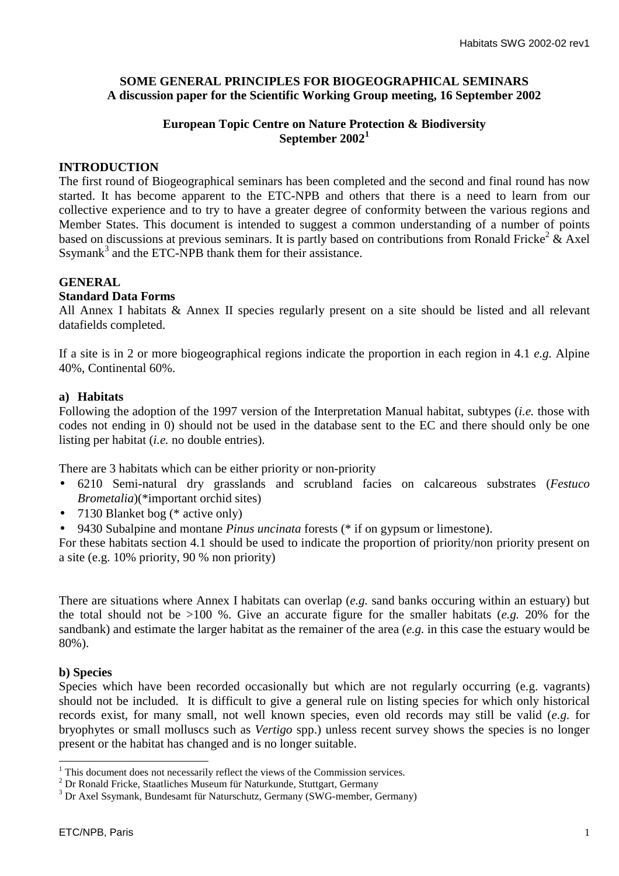# **SOME GENERAL PRINCIPLES FOR BIOGEOGRAPHICAL SEMINARS A discussion paper for the Scientific Working Group meeting, 16 September 2002**

## **European Topic Centre on Nature Protection & Biodiversity September 2002<sup>1</sup>**

## **INTRODUCTION**

The first round of Biogeographical seminars has been completed and the second and final round has now started. It has become apparent to the ETC-NPB and others that there is a need to learn from our collective experience and to try to have a greater degree of conformity between the various regions and Member States. This document is intended to suggest a common understanding of a number of points based on discussions at previous seminars. It is partly based on contributions from Ronald Fricke<sup>2</sup>  $\&$  Axel Ssymank<sup>3</sup> and the ETC-NPB thank them for their assistance.

## **GENERAL**

### **Standard Data Forms**

All Annex I habitats & Annex II species regularly present on a site should be listed and all relevant datafields completed.

If a site is in 2 or more biogeographical regions indicate the proportion in each region in 4.1 *e.g.* Alpine 40%, Continental 60%.

### **a) Habitats**

Following the adoption of the 1997 version of the Interpretation Manual habitat, subtypes (*i.e.* those with codes not ending in 0) should not be used in the database sent to the EC and there should only be one listing per habitat (*i.e.* no double entries).

There are 3 habitats which can be either priority or non-priority

- 6210 Semi-natural dry grasslands and scrubland facies on calcareous substrates (*Festuco Brometalia*)(\*important orchid sites)
- 7130 Blanket bog (\* active only)
- 9430 Subalpine and montane *Pinus uncinata* forests (\* if on gypsum or limestone).

For these habitats section 4.1 should be used to indicate the proportion of priority/non priority present on a site (e.g. 10% priority, 90 % non priority)

There are situations where Annex I habitats can overlap (*e.g.* sand banks occuring within an estuary) but the total should not be >100 %. Give an accurate figure for the smaller habitats (*e.g.* 20% for the sandbank) and estimate the larger habitat as the remainer of the area (*e.g.* in this case the estuary would be 80%).

### **b) Species**

 $\overline{a}$ 

Species which have been recorded occasionally but which are not regularly occurring (e.g. vagrants) should not be included. It is difficult to give a general rule on listing species for which only historical records exist, for many small, not well known species, even old records may still be valid (*e.g.* for bryophytes or small molluscs such as *Vertigo* spp.) unless recent survey shows the species is no longer present or the habitat has changed and is no longer suitable.

 $<sup>1</sup>$  This document does not necessarily reflect the views of the Commission services.</sup>

<sup>&</sup>lt;sup>2</sup> Dr Ronald Fricke, Staatliches Museum für Naturkunde, Stuttgart, Germany

<sup>&</sup>lt;sup>3</sup> Dr Axel Ssymank, Bundesamt für Naturschutz, Germany (SWG-member, Germany)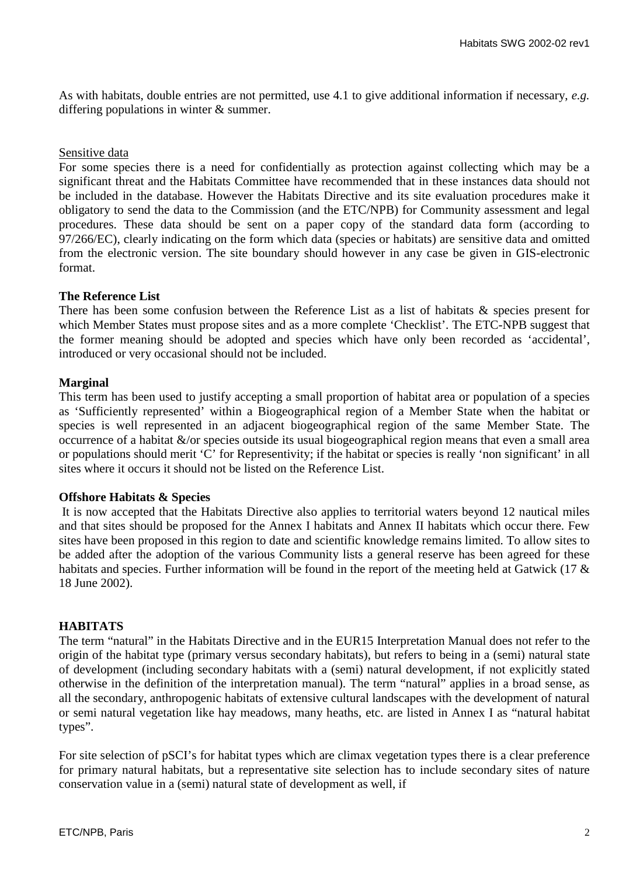As with habitats, double entries are not permitted, use 4.1 to give additional information if necessary, *e.g.* differing populations in winter & summer.

#### Sensitive data

For some species there is a need for confidentially as protection against collecting which may be a significant threat and the Habitats Committee have recommended that in these instances data should not be included in the database. However the Habitats Directive and its site evaluation procedures make it obligatory to send the data to the Commission (and the ETC/NPB) for Community assessment and legal procedures. These data should be sent on a paper copy of the standard data form (according to 97/266/EC), clearly indicating on the form which data (species or habitats) are sensitive data and omitted from the electronic version. The site boundary should however in any case be given in GIS-electronic format.

#### **The Reference List**

There has been some confusion between the Reference List as a list of habitats & species present for which Member States must propose sites and as a more complete 'Checklist'. The ETC-NPB suggest that the former meaning should be adopted and species which have only been recorded as 'accidental', introduced or very occasional should not be included.

### **Marginal**

This term has been used to justify accepting a small proportion of habitat area or population of a species as 'Sufficiently represented' within a Biogeographical region of a Member State when the habitat or species is well represented in an adjacent biogeographical region of the same Member State. The occurrence of a habitat &/or species outside its usual biogeographical region means that even a small area or populations should merit 'C' for Representivity; if the habitat or species is really 'non significant' in all sites where it occurs it should not be listed on the Reference List.

### **Offshore Habitats & Species**

 It is now accepted that the Habitats Directive also applies to territorial waters beyond 12 nautical miles and that sites should be proposed for the Annex I habitats and Annex II habitats which occur there. Few sites have been proposed in this region to date and scientific knowledge remains limited. To allow sites to be added after the adoption of the various Community lists a general reserve has been agreed for these habitats and species. Further information will be found in the report of the meeting held at Gatwick (17 & 18 June 2002).

#### **HABITATS**

The term "natural" in the Habitats Directive and in the EUR15 Interpretation Manual does not refer to the origin of the habitat type (primary versus secondary habitats), but refers to being in a (semi) natural state of development (including secondary habitats with a (semi) natural development, if not explicitly stated otherwise in the definition of the interpretation manual). The term "natural" applies in a broad sense, as all the secondary, anthropogenic habitats of extensive cultural landscapes with the development of natural or semi natural vegetation like hay meadows, many heaths, etc. are listed in Annex I as "natural habitat types".

For site selection of pSCI's for habitat types which are climax vegetation types there is a clear preference for primary natural habitats, but a representative site selection has to include secondary sites of nature conservation value in a (semi) natural state of development as well, if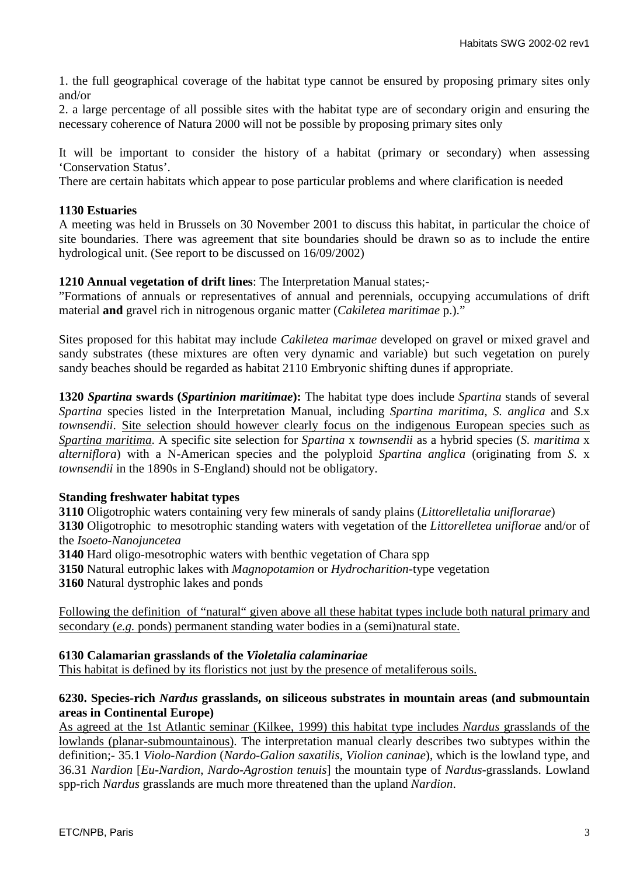1. the full geographical coverage of the habitat type cannot be ensured by proposing primary sites only and/or

2. a large percentage of all possible sites with the habitat type are of secondary origin and ensuring the necessary coherence of Natura 2000 will not be possible by proposing primary sites only

It will be important to consider the history of a habitat (primary or secondary) when assessing 'Conservation Status'.

There are certain habitats which appear to pose particular problems and where clarification is needed

### **1130 Estuaries**

A meeting was held in Brussels on 30 November 2001 to discuss this habitat, in particular the choice of site boundaries. There was agreement that site boundaries should be drawn so as to include the entire hydrological unit. (See report to be discussed on 16/09/2002)

### **1210 Annual vegetation of drift lines**: The Interpretation Manual states;-

"Formations of annuals or representatives of annual and perennials, occupying accumulations of drift material **and** gravel rich in nitrogenous organic matter (*Cakiletea maritimae* p.)."

Sites proposed for this habitat may include *Cakiletea marimae* developed on gravel or mixed gravel and sandy substrates (these mixtures are often very dynamic and variable) but such vegetation on purely sandy beaches should be regarded as habitat 2110 Embryonic shifting dunes if appropriate.

**1320** *Spartina* **swards (***Spartinion maritimae***):** The habitat type does include *Spartina* stands of several *Spartina* species listed in the Interpretation Manual, including *Spartina maritima*, *S. anglica* and *S*.x *townsendii*. Site selection should however clearly focus on the indigenous European species such as *Spartina maritima*. A specific site selection for *Spartina* x *townsendii* as a hybrid species (*S. maritima* x *alterniflora*) with a N-American species and the polyploid *Spartina anglica* (originating from *S.* x *townsendii* in the 1890s in S-England) should not be obligatory.

# **Standing freshwater habitat types**

**3110** Oligotrophic waters containing very few minerals of sandy plains (*Littorelletalia uniflorarae*)

**3130** Oligotrophic to mesotrophic standing waters with vegetation of the *Littorelletea uniflorae* and/or of the *Isoeto-Nanojuncetea*

**3140** Hard oligo-mesotrophic waters with benthic vegetation of Chara spp

**3150** Natural eutrophic lakes with *Magnopotamion* or *Hydrocharition*-type vegetation

**3160** Natural dystrophic lakes and ponds

Following the definition of "natural" given above all these habitat types include both natural primary and secondary (*e.g.* ponds) permanent standing water bodies in a (semi)natural state.

### **6130 Calamarian grasslands of the** *Violetalia calaminariae*

This habitat is defined by its floristics not just by the presence of metaliferous soils.

## **6230. Species-rich** *Nardus* **grasslands, on siliceous substrates in mountain areas (and submountain areas in Continental Europe)**

As agreed at the 1st Atlantic seminar (Kilkee, 1999) this habitat type includes *Nardus* grasslands of the lowlands (planar-submountainous). The interpretation manual clearly describes two subtypes within the definition;- 35.1 *Violo-Nardion* (*Nardo-Galion saxatilis, Violion caninae*), which is the lowland type, and 36.31 *Nardion* [*Eu-Nardion*, *Nardo-Agrostion tenuis*] the mountain type of *Nardus*-grasslands. Lowland spp-rich *Nardus* grasslands are much more threatened than the upland *Nardion*.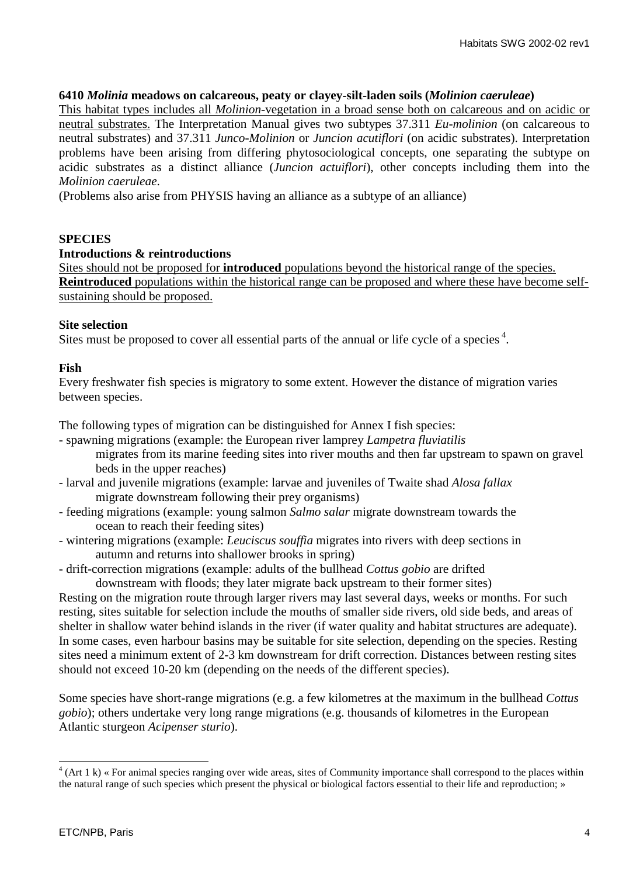### **6410** *Molinia* **meadows on calcareous, peaty or clayey-silt-laden soils (***Molinion caeruleae***)**

This habitat types includes all *Molinion*-vegetation in a broad sense both on calcareous and on acidic or neutral substrates. The Interpretation Manual gives two subtypes 37.311 *Eu-molinion* (on calcareous to neutral substrates) and 37.311 *Junco-Molinion* or *Juncion acutiflori* (on acidic substrates). Interpretation problems have been arising from differing phytosociological concepts, one separating the subtype on acidic substrates as a distinct alliance (*Juncion actuiflori*), other concepts including them into the *Molinion caeruleae*.

(Problems also arise from PHYSIS having an alliance as a subtype of an alliance)

## **SPECIES**

### **Introductions & reintroductions**

Sites should not be proposed for **introduced** populations beyond the historical range of the species. **Reintroduced** populations within the historical range can be proposed and where these have become selfsustaining should be proposed.

### **Site selection**

Sites must be proposed to cover all essential parts of the annual or life cycle of a species  $4$ .

## **Fish**

Every freshwater fish species is migratory to some extent. However the distance of migration varies between species.

The following types of migration can be distinguished for Annex I fish species:

- spawning migrations (example: the European river lamprey *Lampetra fluviatilis* migrates from its marine feeding sites into river mouths and then far upstream to spawn on gravel beds in the upper reaches)
- larval and juvenile migrations (example: larvae and juveniles of Twaite shad *Alosa fallax* migrate downstream following their prey organisms)
- feeding migrations (example: young salmon *Salmo salar* migrate downstream towards the ocean to reach their feeding sites)
- wintering migrations (example: *Leuciscus souffia* migrates into rivers with deep sections in autumn and returns into shallower brooks in spring)
- drift-correction migrations (example: adults of the bullhead *Cottus gobio* are drifted downstream with floods; they later migrate back upstream to their former sites)

Resting on the migration route through larger rivers may last several days, weeks or months. For such resting, sites suitable for selection include the mouths of smaller side rivers, old side beds, and areas of shelter in shallow water behind islands in the river (if water quality and habitat structures are adequate). In some cases, even harbour basins may be suitable for site selection, depending on the species. Resting sites need a minimum extent of 2-3 km downstream for drift correction. Distances between resting sites should not exceed 10-20 km (depending on the needs of the different species).

Some species have short-range migrations (e.g. a few kilometres at the maximum in the bullhead *Cottus gobio*); others undertake very long range migrations (e.g. thousands of kilometres in the European Atlantic sturgeon *Acipenser sturio*).

<sup>&</sup>lt;sup>4</sup> (Art 1 k) « For animal species ranging over wide areas, sites of Community importance shall correspond to the places within the natural range of such species which present the physical or biological factors essential to their life and reproduction; »